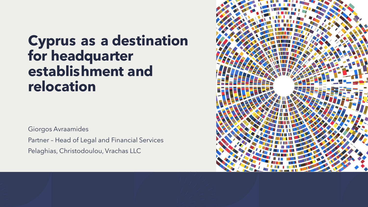# **Cyprus as a destination for headquarter establishment and relocation**

Giorgos Avraamides

Partner – Head of Legal and Financial Services

Pelaghias, Christodoulou, Vrachas LLC

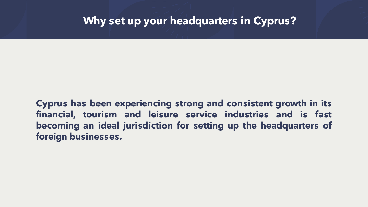**Cyprus has been experiencing strong and consistent growth in its financial, tourism and leisure service industries and is fast becoming an ideal jurisdiction for setting up the headquarters of foreign businesses.**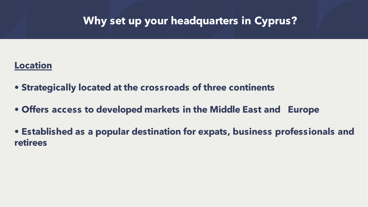#### **Location**

- **• Strategically located at the crossroads of three continents**
- **• Offers access to developed markets in the Middle East and Europe**
- **• Established as a popular destination for expats, business professionals and retirees**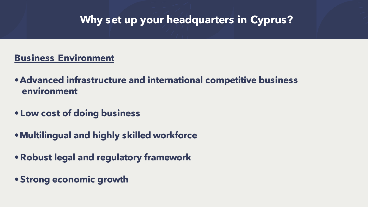### **Business Environment**

- **•Advanced infrastructure and international competitive business environment**
- **•Low cost of doing business**
- **•Multilingual and highly skilled workforce**
- **•Robust legal and regulatory framework**
- **•Strong economic growth**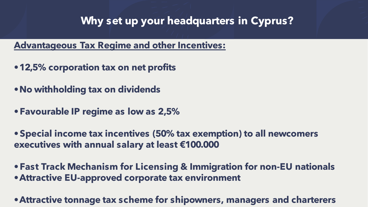**Advantageous Tax Regime and other Incentives:**

- **•12,5% corporation tax on net profits**
- **•No withholding tax on dividends**
- **•Favourable IP regime as low as 2,5%**

**•Special income tax incentives (50% tax exemption) to all newcomers executives with annual salary at least €100.000** 

**•Fast Track Mechanism for Licensing & Immigration for non-EU nationals •Attractive EU-approved corporate tax environment** 

**•Attractive tonnage tax scheme for shipowners, managers and charterers**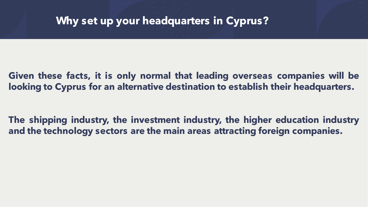### **Given these facts, it is only normal that leading overseas companies will be looking to Cyprus for an alternative destination to establish their headquarters.**

**The shipping industry, the investment industry, the higher education industry and the technology sectors are the main areas attracting foreign companies.**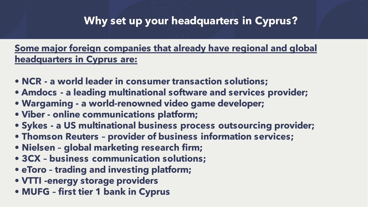### **Some major foreign companies that already have regional and global headquarters in Cyprus are:**

- **• NCR - a world leader in consumer transaction solutions;**
- **• Amdocs - a leading multinational software and services provider;**
- **• Wargaming - a world-renowned video game developer;**
- **• Viber - online communications platform;**
- **• Sykes - a US multinational business process outsourcing provider;**
- **• Thomson Reuters – provider of business information services;**
- **• Nielsen – global marketing research firm;**
- **• 3CX – business communication solutions;**
- **• eToro – trading and investing platform;**
- **• VTTI -energy storage providers**
- **• MUFG – first tier 1 bank in Cyprus**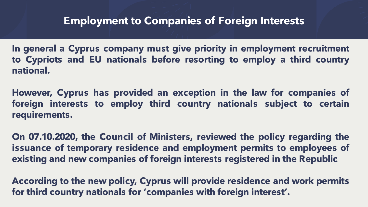**In general a Cyprus company must give priority in employment recruitment to Cypriots and EU nationals before resorting to employ a third country national.**

**However, Cyprus has provided an exception in the law for companies of foreign interests to employ third country nationals subject to certain requirements.**

**On 07.10.2020, the Council of Ministers, reviewed the policy regarding the issuance of temporary residence and employment permits to employees of existing and new companies of foreign interests registered in the Republic**

**According to the new policy, Cyprus will provide residence and work permits for third country nationals for 'companies with foreign interest' .**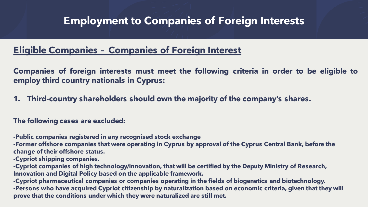#### **Eligible Companies – Companies of Foreign Interest**

**Companies of foreign interests must meet the following criteria in order to be eligible to employ third country nationals in Cyprus:**

**1. Third-country shareholders should own the majority of the company's shares.**

#### **The following cases are excluded:**

**-Public companies registered in any recognised stock exchange**

**-Former offshore companies that were operating in Cyprus by approval of the Cyprus Central Bank, before the change of their offshore status.**

**-Cypriot shipping companies.**

**-Cypriot companies of high technology/innovation, that will be certified by the Deputy Ministry of Research, Innovation and Digital Policy based on the applicable framework.**

**-Cypriot pharmaceutical companies or companies operating in the fields of biogenetics and biotechnology. -Persons who have acquired Cypriot citizenship by naturalization based on economic criteria, given that they will prove that the conditions under which they were naturalized are still met.**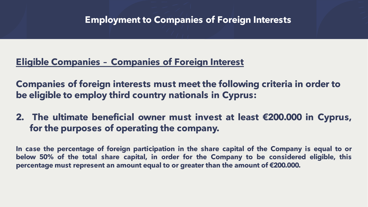### **Eligible Companies – Companies of Foreign Interest**

**Companies of foreign interests must meet the following criteria in order to be eligible to employ third country nationals in Cyprus:**

**2. The ultimate beneficial owner must invest at least €200.000 in Cyprus, for the purposes of operating the company.**

**In case the percentage of foreign participation in the share capital of the Company is equal to or below 50% of the total share capital, in order for the Company to be considered eligible, this percentage must represent an amount equal to or greater than the amount of €200.000.**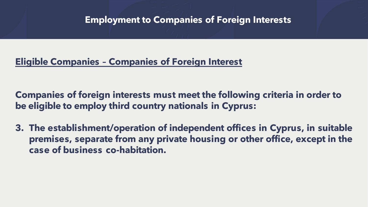### **Eligible Companies – Companies of Foreign Interest**

**Companies of foreign interests must meet the following criteria in order to be eligible to employ third country nationals in Cyprus:**

**3. The establishment/operation of independent offices in Cyprus, in suitable premises, separate from any private housing or other office, except in the case of business co-habitation.**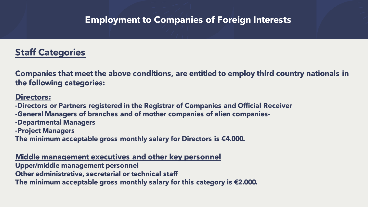### **Staff Categories**

**Companies that meet the above conditions, are entitled to employ third country nationals in the following categories:**

#### **Directors:**

**-Directors or Partners registered in the Registrar of Companies and Official Receiver -General Managers of branches and of mother companies of alien companies- -Departmental Managers -Project Managers**

**The minimum acceptable gross monthly salary for Directors is €4.000.**

#### **Middle management executives and other key personnel**

**Upper/middle management personnel**

**Other administrative, secretarial or technical staff**

**The minimum acceptable gross monthly salary for this category is €2.000.**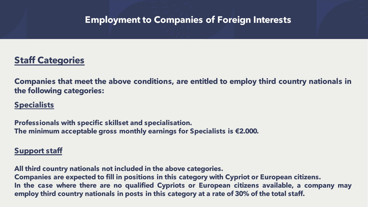### **Staff Categories**

**Companies that meet the above conditions, are entitled to employ third country nationals in the following categories:**

#### **Specialists**

**Professionals with specific skillset and specialisation. The minimum acceptable gross monthly earnings for Specialists is €2.000.**

#### **Support staff**

**All third country nationals not included in the above categories. Companies are expected to fill in positions in this category with Cypriot or European citizens. In the case where there are no qualified Cypriots or European citizens available, a company may employ third country nationals in posts in this category at a rate of 30% of the total staff.**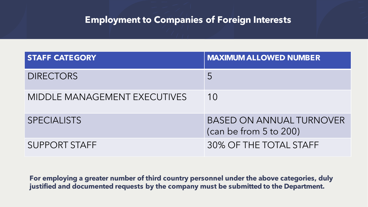| <b>STAFF CATEGORY</b>        | <b>MAXIMUM ALLOWED NUMBER</b>                             |
|------------------------------|-----------------------------------------------------------|
| <b>DIRECTORS</b>             | 5                                                         |
| MIDDLE MANAGEMENT EXECUTIVES | 10                                                        |
| <b>SPECIALISTS</b>           | <b>BASED ON ANNUAL TURNOVER</b><br>(can be from 5 to 200) |
| <b>SUPPORT STAFF</b>         | 30% OF THE TOTAL STAFF                                    |

**For employing a greater number of third country personnel under the above categories, duly justified and documented requests by the company must be submitted to the Department.**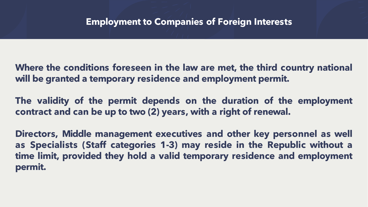**Where the conditions foreseen in the law are met, the third country national will be granted a temporary residence and employment permit.**

**The validity of the permit depends on the duration of the employment contract and can be up to two (2) years, with a right of renewal.**

**Directors, Middle management executives and other key personnel as well as Specialists (Staff categories 1-3) may reside in the Republic without a time limit, provided they hold a valid temporary residence and employment permit.**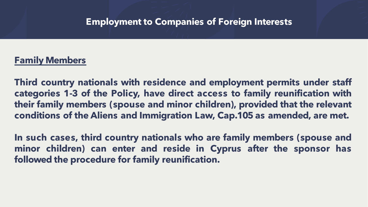#### **Family Members**

**Third country nationals with residence and employment permits under staff categories 1-3 of the Policy, have direct access to family reunification with their family members (spouse and minor children), provided that the relevant conditions of the Aliens and Immigration Law, Cap.105 as amended, are met.**

**In such cases, third country nationals who are family members (spouse and minor children) can enter and reside in Cyprus after the sponsor has followed the procedure for family reunification.**